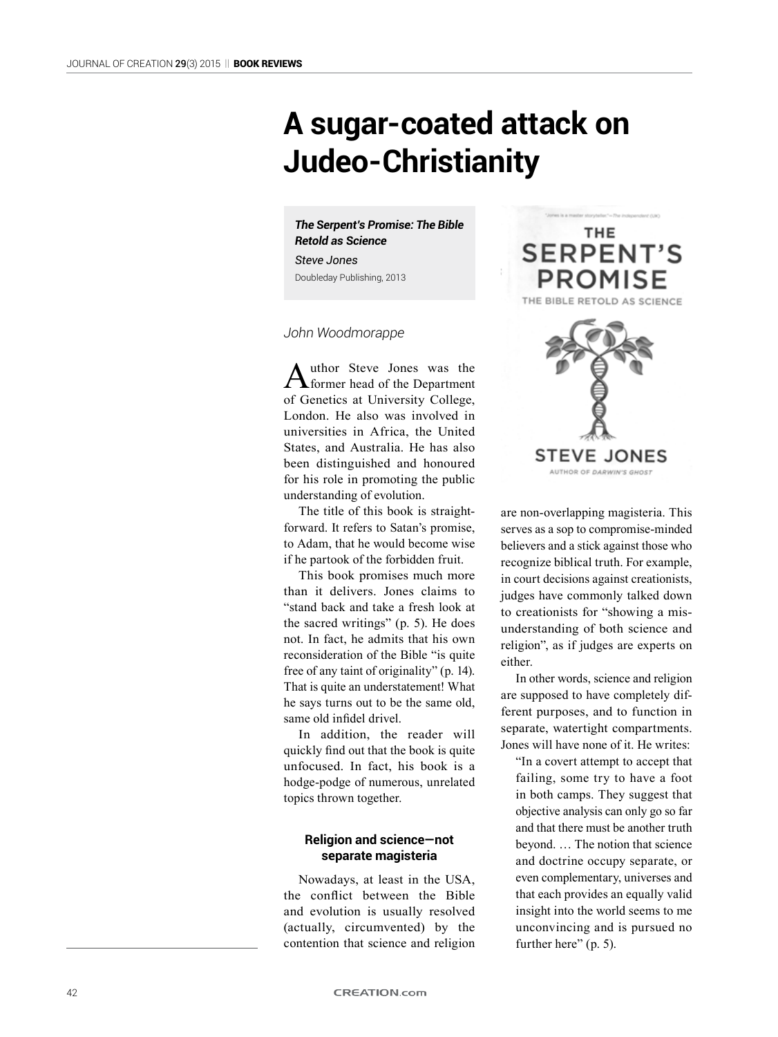# **A sugar-coated attack on Judeo-Christianity**

*The Serpent's Promise: The Bible Retold as Science*

*Steve Jones* Doubleday Publishing, 2013

### *John Woodmorappe*

Author Steve Jones was the **Steve Steve Solution** of Genetics at University College, London. He also was involved in universities in Africa, the United States, and Australia. He has also been distinguished and honoured for his role in promoting the public understanding of evolution.

The title of this book is straightforward. It refers to Satan's promise, to Adam, that he would become wise if he partook of the forbidden fruit.

This book promises much more than it delivers. Jones claims to "stand back and take a fresh look at the sacred writings" (p. 5). He does not. In fact, he admits that his own reconsideration of the Bible "is quite free of any taint of originality" (p. 14). That is quite an understatement! What he says turns out to be the same old, same old infidel drivel.

In addition, the reader will quickly find out that the book is quite unfocused. In fact, his book is a hodge-podge of numerous, unrelated topics thrown together.

# **Religion and science—not separate magisteria**

Nowadays, at least in the USA, the conflict between the Bible and evolution is usually resolved (actually, circumvented) by the contention that science and religion



are non-overlapping magisteria. This serves as a sop to compromise-minded believers and a stick against those who recognize biblical truth. For example, in court decisions against creationists, judges have commonly talked down to creationists for "showing a misunderstanding of both science and religion", as if judges are experts on either.

In other words, science and religion are supposed to have completely different purposes, and to function in separate, watertight compartments. Jones will have none of it. He writes:

"In a covert attempt to accept that failing, some try to have a foot in both camps. They suggest that objective analysis can only go so far and that there must be another truth beyond. … The notion that science and doctrine occupy separate, or even complementary, universes and that each provides an equally valid insight into the world seems to me unconvincing and is pursued no further here" (p. 5).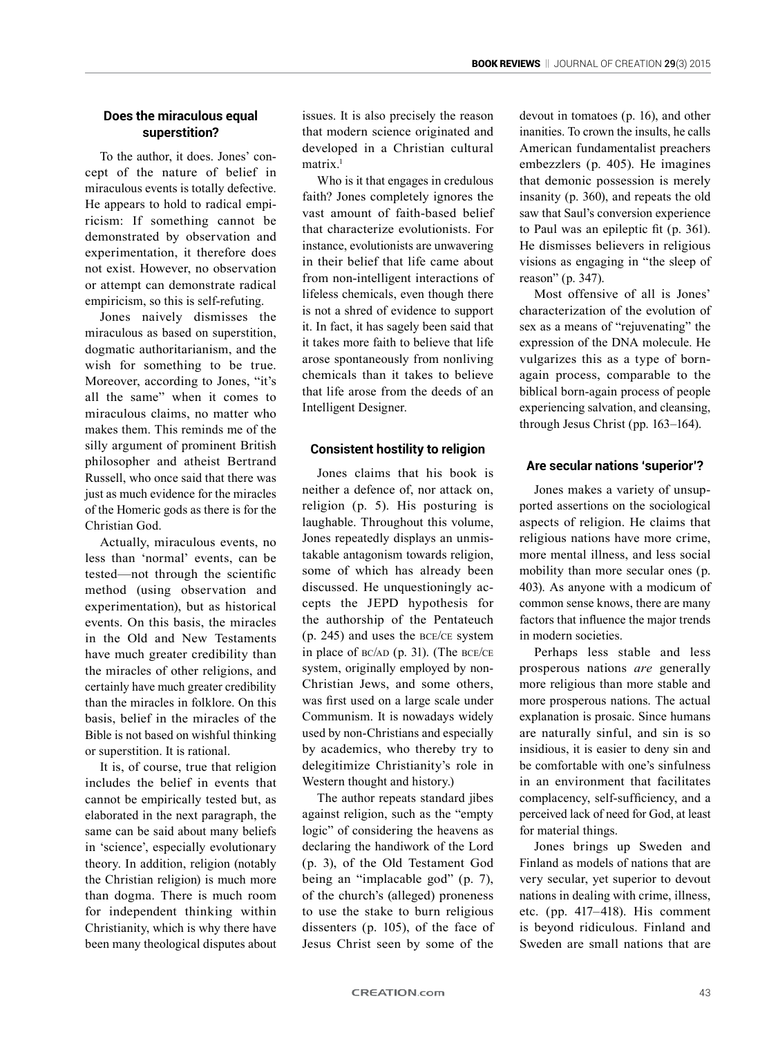# **Does the miraculous equal superstition?**

To the author, it does. Jones' concept of the nature of belief in miraculous events is totally defective. He appears to hold to radical empiricism: If something cannot be demonstrated by observation and experimentation, it therefore does not exist. However, no observation or attempt can demonstrate radical empiricism, so this is self-refuting.

Jones naively dismisses the miraculous as based on superstition, dogmatic authoritarianism, and the wish for something to be true. Moreover, according to Jones, "it's all the same" when it comes to miraculous claims, no matter who makes them. This reminds me of the silly argument of prominent British philosopher and atheist Bertrand Russell, who once said that there was just as much evidence for the miracles of the Homeric gods as there is for the Christian God.

Actually, miraculous events, no less than 'normal' events, can be tested—not through the scientific method (using observation and experimentation), but as historical events. On this basis, the miracles in the Old and New Testaments have much greater credibility than the miracles of other religions, and certainly have much greater credibility than the miracles in folklore. On this basis, belief in the miracles of the Bible is not based on wishful thinking or superstition. It is rational.

It is, of course, true that religion includes the belief in events that cannot be empirically tested but, as elaborated in the next paragraph, the same can be said about many beliefs in 'science', especially evolutionary theory. In addition, religion (notably the Christian religion) is much more than dogma. There is much room for independent thinking within Christianity, which is why there have been many theological disputes about

issues. It is also precisely the reason that modern science originated and developed in a Christian cultural matrix.<sup>1</sup>

Who is it that engages in credulous faith? Jones completely ignores the vast amount of faith-based belief that characterize evolutionists. For instance, evolutionists are unwavering in their belief that life came about from non-intelligent interactions of lifeless chemicals, even though there is not a shred of evidence to support it. In fact, it has sagely been said that it takes more faith to believe that life arose spontaneously from nonliving chemicals than it takes to believe that life arose from the deeds of an Intelligent Designer.

## **Consistent hostility to religion**

Jones claims that his book is neither a defence of, nor attack on, religion (p. 5). His posturing is laughable. Throughout this volume, Jones repeatedly displays an unmistakable antagonism towards religion, some of which has already been discussed. He unquestioningly accepts the JEPD hypothesis for the authorship of the Pentateuch (p. 245) and uses the bce/ce system in place of  $BC/AD$  (p. 31). (The  $BCE/CE$ system, originally employed by non-Christian Jews, and some others, was first used on a large scale under Communism. It is nowadays widely used by non-Christians and especially by academics, who thereby try to delegitimize Christianity's role in Western thought and history.)

The author repeats standard jibes against religion, such as the "empty logic" of considering the heavens as declaring the handiwork of the Lord (p. 3), of the Old Testament God being an "implacable god" (p. 7), of the church's (alleged) proneness to use the stake to burn religious dissenters (p. 105), of the face of Jesus Christ seen by some of the devout in tomatoes (p. 16), and other inanities. To crown the insults, he calls American fundamentalist preachers embezzlers (p. 405). He imagines that demonic possession is merely insanity (p. 360), and repeats the old saw that Saul's conversion experience to Paul was an epileptic fit (p. 361). He dismisses believers in religious visions as engaging in "the sleep of reason" (p. 347).

Most offensive of all is Jones' characterization of the evolution of sex as a means of "rejuvenating" the expression of the DNA molecule. He vulgarizes this as a type of bornagain process, comparable to the biblical born-again process of people experiencing salvation, and cleansing, through Jesus Christ (pp. 163–164).

## **Are secular nations 'superior'?**

Jones makes a variety of unsupported assertions on the sociological aspects of religion. He claims that religious nations have more crime, more mental illness, and less social mobility than more secular ones (p. 403). As anyone with a modicum of common sense knows, there are many factors that influence the major trends in modern societies.

Perhaps less stable and less prosperous nations *are* generally more religious than more stable and more prosperous nations. The actual explanation is prosaic. Since humans are naturally sinful, and sin is so insidious, it is easier to deny sin and be comfortable with one's sinfulness in an environment that facilitates complacency, self-sufficiency, and a perceived lack of need for God, at least for material things.

Jones brings up Sweden and Finland as models of nations that are very secular, yet superior to devout nations in dealing with crime, illness, etc. (pp. 417–418). His comment is beyond ridiculous. Finland and Sweden are small nations that are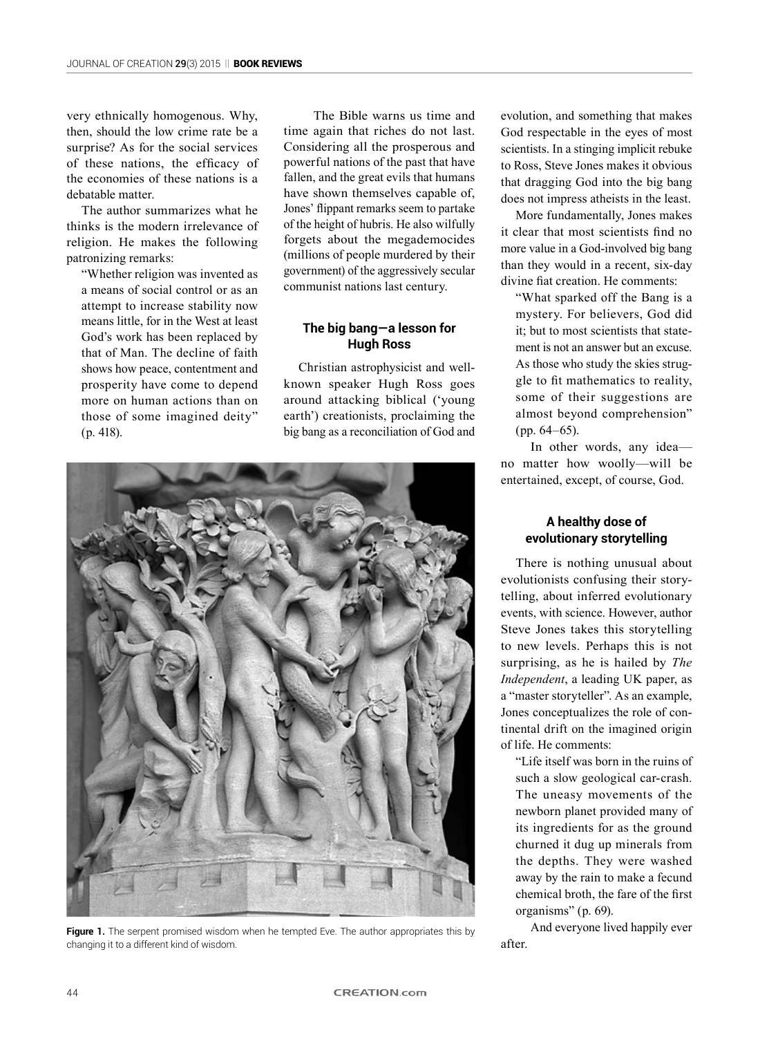very ethnically homogenous. Why, then, should the low crime rate be a surprise? As for the social services of these nations, the efficacy of the economies of these nations is a debatable matter.

The author summarizes what he thinks is the modern irrelevance of religion. He makes the following patronizing remarks:

"Whether religion was invented as a means of social control or as an attempt to increase stability now means little, for in the West at least God's work has been replaced by that of Man. The decline of faith shows how peace, contentment and prosperity have come to depend more on human actions than on those of some imagined deity" (p. 418).

The Bible warns us time and time again that riches do not last. Considering all the prosperous and powerful nations of the past that have fallen, and the great evils that humans have shown themselves capable of, Jones' flippant remarks seem to partake of the height of hubris. He also wilfully forgets about the megademocides (millions of people murdered by their government) of the aggressively secular communist nations last century.

# **The big bang—a lesson for Hugh Ross**

Christian astrophysicist and wellknown speaker Hugh Ross goes around attacking biblical ('young earth') creationists, proclaiming the big bang as a reconciliation of God and



Figure 1. The serpent promised wisdom when he tempted Eve. The author appropriates this by changing it to a different kind of wisdom.

evolution, and something that makes God respectable in the eyes of most scientists. In a stinging implicit rebuke to Ross, Steve Jones makes it obvious that dragging God into the big bang does not impress atheists in the least.

More fundamentally, Jones makes it clear that most scientists find no more value in a God-involved big bang than they would in a recent, six-day divine fiat creation. He comments:

"What sparked off the Bang is a mystery. For believers, God did it; but to most scientists that statement is not an answer but an excuse. As those who study the skies struggle to fit mathematics to reality, some of their suggestions are almost beyond comprehension" (pp. 64–65).

In other words, any idea no matter how woolly—will be entertained, except, of course, God.

# **A healthy dose of evolutionary storytelling**

There is nothing unusual about evolutionists confusing their storytelling, about inferred evolutionary events, with science. However, author Steve Jones takes this storytelling to new levels. Perhaps this is not surprising, as he is hailed by *The Independent*, a leading UK paper, as a "master storyteller". As an example, Jones conceptualizes the role of continental drift on the imagined origin of life. He comments:

"Life itself was born in the ruins of such a slow geological car-crash. The uneasy movements of the newborn planet provided many of its ingredients for as the ground churned it dug up minerals from the depths. They were washed away by the rain to make a fecund chemical broth, the fare of the first organisms" (p. 69).

And everyone lived happily ever after.